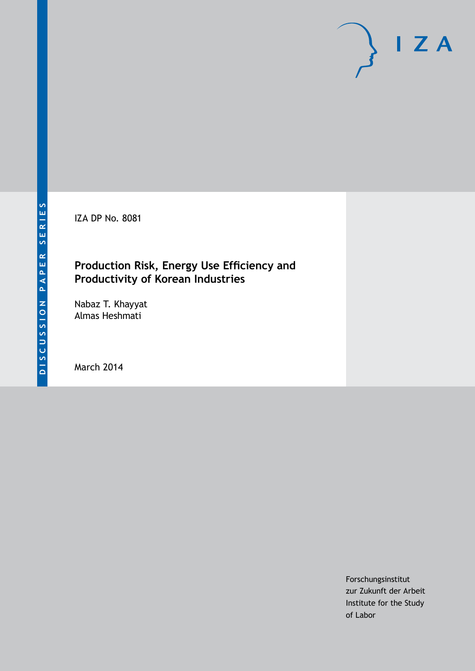IZA DP No. 8081

# **Production Risk, Energy Use Efficiency and Productivity of Korean Industries**

Nabaz T. Khayyat Almas Heshmati

March 2014

Forschungsinstitut zur Zukunft der Arbeit Institute for the Study of Labor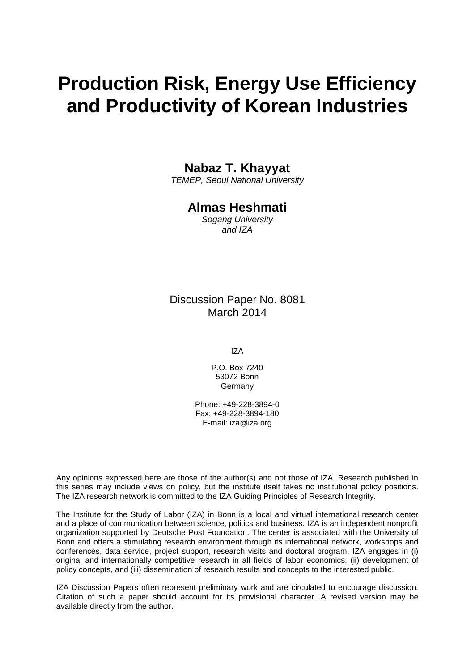# **Production Risk, Energy Use Efficiency and Productivity of Korean Industries**

# **Nabaz T. Khayyat**

*TEMEP, Seoul National University*

# **Almas Heshmati**

*Sogang University and IZA*

Discussion Paper No. 8081 March 2014

IZA

P.O. Box 7240 53072 Bonn Germany

Phone: +49-228-3894-0 Fax: +49-228-3894-180 E-mail: [iza@iza.org](mailto:iza@iza.org)

Any opinions expressed here are those of the author(s) and not those of IZA. Research published in this series may include views on policy, but the institute itself takes no institutional policy positions. The IZA research network is committed to the IZA Guiding Principles of Research Integrity.

The Institute for the Study of Labor (IZA) in Bonn is a local and virtual international research center and a place of communication between science, politics and business. IZA is an independent nonprofit organization supported by Deutsche Post Foundation. The center is associated with the University of Bonn and offers a stimulating research environment through its international network, workshops and conferences, data service, project support, research visits and doctoral program. IZA engages in (i) original and internationally competitive research in all fields of labor economics, (ii) development of policy concepts, and (iii) dissemination of research results and concepts to the interested public.

IZA Discussion Papers often represent preliminary work and are circulated to encourage discussion. Citation of such a paper should account for its provisional character. A revised version may be available directly from the author.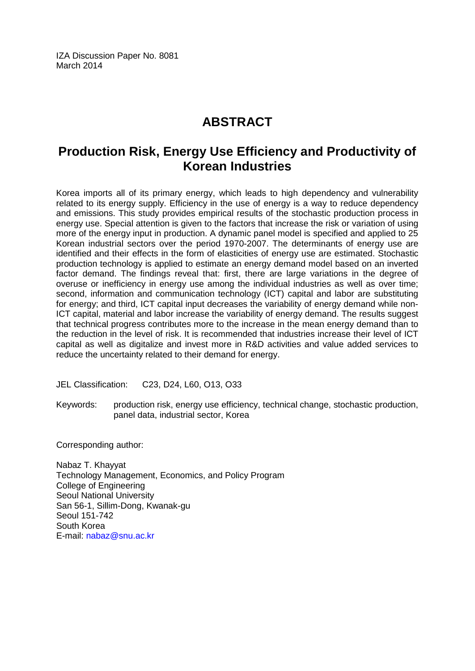IZA Discussion Paper No. 8081 March 2014

# **ABSTRACT**

# **Production Risk, Energy Use Efficiency and Productivity of Korean Industries**

Korea imports all of its primary energy, which leads to high dependency and vulnerability related to its energy supply. Efficiency in the use of energy is a way to reduce dependency and emissions. This study provides empirical results of the stochastic production process in energy use. Special attention is given to the factors that increase the risk or variation of using more of the energy input in production. A dynamic panel model is specified and applied to 25 Korean industrial sectors over the period 1970-2007. The determinants of energy use are identified and their effects in the form of elasticities of energy use are estimated. Stochastic production technology is applied to estimate an energy demand model based on an inverted factor demand. The findings reveal that: first, there are large variations in the degree of overuse or inefficiency in energy use among the individual industries as well as over time; second, information and communication technology (ICT) capital and labor are substituting for energy; and third, ICT capital input decreases the variability of energy demand while non-ICT capital, material and labor increase the variability of energy demand. The results suggest that technical progress contributes more to the increase in the mean energy demand than to the reduction in the level of risk. It is recommended that industries increase their level of ICT capital as well as digitalize and invest more in R&D activities and value added services to reduce the uncertainty related to their demand for energy.

JEL Classification: C23, D24, L60, O13, O33

Keywords: production risk, energy use efficiency, technical change, stochastic production, panel data, industrial sector, Korea

Corresponding author:

Nabaz T. Khayyat Technology Management, Economics, and Policy Program College of Engineering Seoul National University San 56-1, Sillim-Dong, Kwanak-gu Seoul 151-742 South Korea E-mail: [nabaz@snu.ac.kr](mailto:nabaz@snu.ac.kr)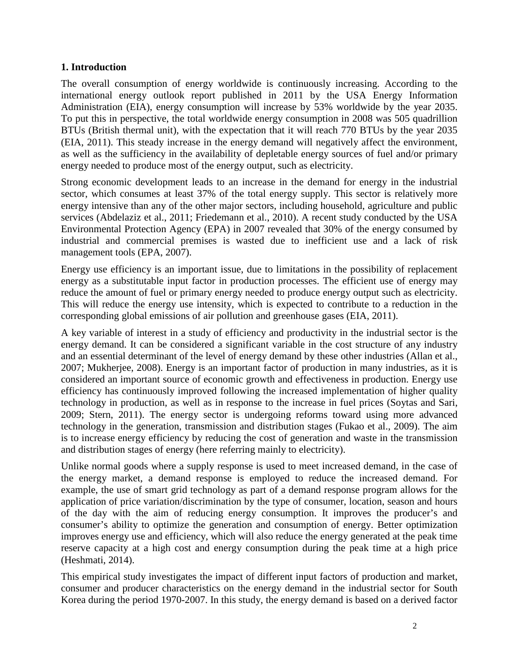#### **1. Introduction**

The overall consumption of energy worldwide is continuously increasing. According to the international energy outlook report published in 2011 by the USA Energy Information Administration (EIA), energy consumption will increase by 53% worldwide by the year 2035. To put this in perspective, the total worldwide energy consumption in 2008 was 505 quadrillion BTUs (British thermal unit), with the expectation that it will reach 770 BTUs by the year 2035 [\(EIA, 2011\)](#page-21-0). This steady increase in the energy demand will negatively affect the environment, as well as the sufficiency in the availability of depletable energy sources of fuel and/or primary energy needed to produce most of the energy output, such as electricity.

Strong economic development leads to an increase in the demand for energy in the industrial sector, which consumes at least 37% of the total energy supply. This sector is relatively more energy intensive than any of the other major sectors, including household, agriculture and public services [\(Abdelaziz et al., 2011;](#page-21-1) [Friedemann et al., 2010\)](#page-22-0). A recent study conducted by the USA Environmental Protection Agency (EPA) in 2007 revealed that 30% of the energy consumed by industrial and commercial premises is wasted due to inefficient use and a lack of risk management tools [\(EPA, 2007\)](#page-21-2).

Energy use efficiency is an important issue, due to limitations in the possibility of replacement energy as a substitutable input factor in production processes. The efficient use of energy may reduce the amount of fuel or primary energy needed to produce energy output such as electricity. This will reduce the energy use intensity, which is expected to contribute to a reduction in the corresponding global emissions of air pollution and greenhouse gases [\(EIA, 2011\)](#page-21-0).

A key variable of interest in a study of efficiency and productivity in the industrial sector is the energy demand. It can be considered a significant variable in the cost structure of any industry and an essential determinant of the level of energy demand by these other industries [\(Allan et al.,](#page-21-3)  [2007;](#page-21-3) [Mukherjee, 2008\)](#page-23-0). Energy is an important factor of production in many industries, as it is considered an important source of economic growth and effectiveness in production. Energy use efficiency has continuously improved following the increased implementation of higher quality technology in production, as well as in response to the increase in fuel prices [\(Soytas and Sari,](#page-23-1)  [2009;](#page-23-1) [Stern, 2011\)](#page-24-0). The energy sector is undergoing reforms toward using more advanced technology in the generation, transmission and distribution stages [\(Fukao et al., 2009\)](#page-22-1). The aim is to increase energy efficiency by reducing the cost of generation and waste in the transmission and distribution stages of energy (here referring mainly to electricity).

Unlike normal goods where a supply response is used to meet increased demand, in the case of the energy market, a demand response is employed to reduce the increased demand. For example, the use of smart grid technology as part of a demand response program allows for the application of price variation/discrimination by the type of consumer, location, season and hours of the day with the aim of reducing energy consumption. It improves the producer's and consumer's ability to optimize the generation and consumption of energy. Better optimization improves energy use and efficiency, which will also reduce the energy generated at the peak time reserve capacity at a high cost and energy consumption during the peak time at a high price [\(Heshmati, 2014\)](#page-22-2).

This empirical study investigates the impact of different input factors of production and market, consumer and producer characteristics on the energy demand in the industrial sector for South Korea during the period 1970-2007. In this study, the energy demand is based on a derived factor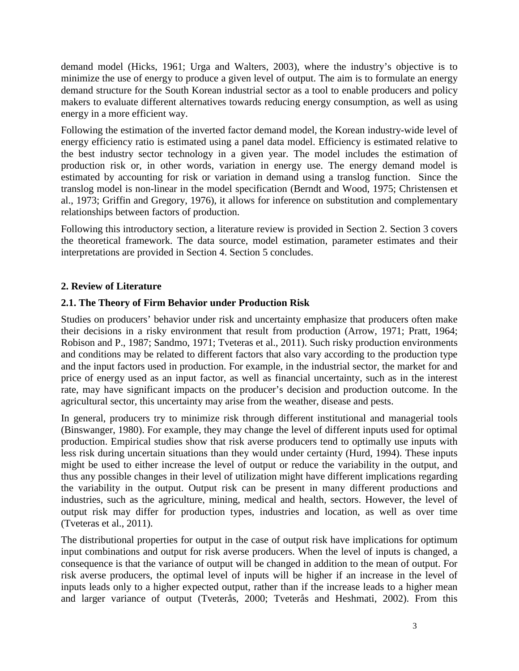demand model [\(Hicks, 1961;](#page-22-3) [Urga and Walters, 2003\)](#page-24-1), where the industry's objective is to minimize the use of energy to produce a given level of output. The aim is to formulate an energy demand structure for the South Korean industrial sector as a tool to enable producers and policy makers to evaluate different alternatives towards reducing energy consumption, as well as using energy in a more efficient way.

Following the estimation of the inverted factor demand model, the Korean industry-wide level of energy efficiency ratio is estimated using a panel data model. Efficiency is estimated relative to the best industry sector technology in a given year. The model includes the estimation of production risk or, in other words, variation in energy use. The energy demand model is estimated by accounting for risk or variation in demand using a translog function. Since the translog model is non-linear in the model specification [\(Berndt and Wood, 1975;](#page-21-4) [Christensen et](#page-21-5)  [al., 1973;](#page-21-5) [Griffin and Gregory, 1976\)](#page-22-4), it allows for inference on substitution and complementary relationships between factors of production.

Following this introductory section, a literature review is provided in Section 2. Section 3 covers the theoretical framework. The data source, model estimation, parameter estimates and their interpretations are provided in Section 4. Section 5 concludes.

# **2. Review of Literature**

# **2.1. The Theory of Firm Behavior under Production Risk**

Studies on producers' behavior under risk and uncertainty emphasize that producers often make their decisions in a risky environment that result from production [\(Arrow, 1971;](#page-21-6) [Pratt, 1964;](#page-23-2) [Robison and P., 1987;](#page-23-3) [Sandmo, 1971;](#page-23-4) [Tveteras et al., 2011\)](#page-24-2). Such risky production environments and conditions may be related to different factors that also vary according to the production type and the input factors used in production. For example, in the industrial sector, the market for and price of energy used as an input factor, as well as financial uncertainty, such as in the interest rate, may have significant impacts on the producer's decision and production outcome. In the agricultural sector, this uncertainty may arise from the weather, disease and pests.

In general, producers try to minimize risk through different institutional and managerial tools [\(Binswanger, 1980\)](#page-21-7). For example, they may change the level of different inputs used for optimal production. Empirical studies show that risk averse producers tend to optimally use inputs with less risk during uncertain situations than they would under certainty [\(Hurd, 1994\)](#page-22-5). These inputs might be used to either increase the level of output or reduce the variability in the output, and thus any possible changes in their level of utilization might have different implications regarding the variability in the output. Output risk can be present in many different productions and industries, such as the agriculture, mining, medical and health, sectors. However, the level of output risk may differ for production types, industries and location, as well as over time [\(Tveteras et al., 2011\)](#page-24-2).

The distributional properties for output in the case of output risk have implications for optimum input combinations and output for risk averse producers. When the level of inputs is changed, a consequence is that the variance of output will be changed in addition to the mean of output. For risk averse producers, the optimal level of inputs will be higher if an increase in the level of inputs leads only to a higher expected output, rather than if the increase leads to a higher mean and larger variance of output [\(Tveterås, 2000;](#page-24-3) [Tveterås and Heshmati, 2002\)](#page-24-4). From this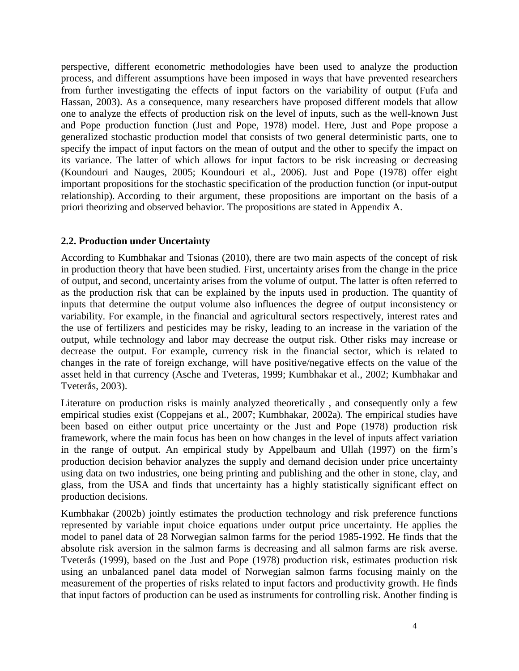perspective, different econometric methodologies have been used to analyze the production process, and different assumptions have been imposed in ways that have prevented researchers from further investigating the effects of input factors on the variability of output [\(Fufa and](#page-22-6)  [Hassan, 2003\)](#page-22-6). As a consequence, many researchers have proposed different models that allow one to analyze the effects of production risk on the level of inputs, such as the well-known Just and Pope production function [\(Just and Pope, 1978\)](#page-22-7) model. Here, Just and Pope propose a generalized stochastic production model that consists of two general deterministic parts, one to specify the impact of input factors on the mean of output and the other to specify the impact on its variance. The latter of which allows for input factors to be risk increasing or decreasing [\(Koundouri and Nauges, 2005;](#page-22-8) [Koundouri et al., 2006\)](#page-22-9). [Just and Pope \(1978\)](#page-22-7) offer eight important propositions for the stochastic specification of the production function (or input-output relationship). According to their argument, these propositions are important on the basis of a priori theorizing and observed behavior. The propositions are stated in Appendix A.

#### **2.2. Production under Uncertainty**

According to [Kumbhakar and Tsionas \(2010\),](#page-23-5) there are two main aspects of the concept of risk in production theory that have been studied. First, uncertainty arises from the change in the price of output, and second, uncertainty arises from the volume of output. The latter is often referred to as the production risk that can be explained by the inputs used in production. The quantity of inputs that determine the output volume also influences the degree of output inconsistency or variability. For example, in the financial and agricultural sectors respectively, interest rates and the use of fertilizers and pesticides may be risky, leading to an increase in the variation of the output, while technology and labor may decrease the output risk. Other risks may increase or decrease the output. For example, currency risk in the financial sector, which is related to changes in the rate of foreign exchange, will have positive/negative effects on the value of the asset held in that currency [\(Asche and Tveteras, 1999;](#page-21-8) [Kumbhakar et al., 2002;](#page-23-6) [Kumbhakar and](#page-23-7)  [Tveterås, 2003\)](#page-23-7).

Literature on production risks is mainly analyzed theoretically , and consequently only a few empirical studies exist [\(Coppejans et al., 2007;](#page-21-9) [Kumbhakar, 2002a\)](#page-23-8). The empirical studies have been based on either output price uncertainty or the [Just and Pope \(1978\)](#page-22-7) production risk framework, where the main focus has been on how changes in the level of inputs affect variation in the range of output. An empirical study by [Appelbaum and Ullah \(1997\)](#page-21-10) on the firm's production decision behavior analyzes the supply and demand decision under price uncertainty using data on two industries, one being printing and publishing and the other in stone, clay, and glass, from the USA and finds that uncertainty has a highly statistically significant effect on production decisions.

[Kumbhakar \(2002b\)](#page-23-9) jointly estimates the production technology and risk preference functions represented by variable input choice equations under output price uncertainty. He applies the model to panel data of 28 Norwegian salmon farms for the period 1985-1992. He finds that the absolute risk aversion in the salmon farms is decreasing and all salmon farms are risk averse. [Tveterås \(1999\),](#page-24-5) based on the [Just and Pope \(1978\)](#page-22-7) production risk, estimates production risk using an unbalanced panel data model of Norwegian salmon farms focusing mainly on the measurement of the properties of risks related to input factors and productivity growth. He finds that input factors of production can be used as instruments for controlling risk. Another finding is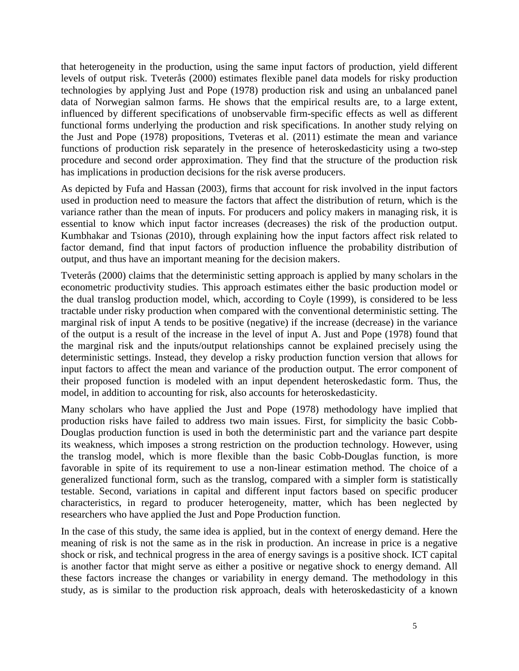that heterogeneity in the production, using the same input factors of production, yield different levels of output risk. [Tveterås \(2000\)](#page-24-3) estimates flexible panel data models for risky production technologies by applying [Just and Pope \(1978\)](#page-22-7) production risk and using an unbalanced panel data of Norwegian salmon farms. He shows that the empirical results are, to a large extent, influenced by different specifications of unobservable firm-specific effects as well as different functional forms underlying the production and risk specifications. In another study relying on the [Just and Pope \(1978\)](#page-22-7) propositions, [Tveteras et al. \(2011\)](#page-24-2) estimate the mean and variance functions of production risk separately in the presence of heteroskedasticity using a two-step procedure and second order approximation. They find that the structure of the production risk has implications in production decisions for the risk averse producers.

As depicted by [Fufa and Hassan \(2003\),](#page-22-6) firms that account for risk involved in the input factors used in production need to measure the factors that affect the distribution of return, which is the variance rather than the mean of inputs. For producers and policy makers in managing risk, it is essential to know which input factor increases (decreases) the risk of the production output. [Kumbhakar and Tsionas \(2010\),](#page-23-5) through explaining how the input factors affect risk related to factor demand, find that input factors of production influence the probability distribution of output, and thus have an important meaning for the decision makers.

[Tveterås \(2000\)](#page-24-3) claims that the deterministic setting approach is applied by many scholars in the econometric productivity studies. This approach estimates either the basic production model or the dual translog production model, which, according to [Coyle \(1999\),](#page-21-11) is considered to be less tractable under risky production when compared with the conventional deterministic setting. The marginal risk of input A tends to be positive (negative) if the increase (decrease) in the variance of the output is a result of the increase in the level of input A. [Just and Pope \(1978\)](#page-22-7) found that the marginal risk and the inputs/output relationships cannot be explained precisely using the deterministic settings. Instead, they develop a risky production function version that allows for input factors to affect the mean and variance of the production output. The error component of their proposed function is modeled with an input dependent heteroskedastic form. Thus, the model, in addition to accounting for risk, also accounts for heteroskedasticity.

Many scholars who have applied the [Just and Pope \(1978\)](#page-22-7) methodology have implied that production risks have failed to address two main issues. First, for simplicity the basic Cobb-Douglas production function is used in both the deterministic part and the variance part despite its weakness, which imposes a strong restriction on the production technology. However, using the translog model, which is more flexible than the basic Cobb-Douglas function, is more favorable in spite of its requirement to use a non-linear estimation method. The choice of a generalized functional form, such as the translog, compared with a simpler form is statistically testable. Second, variations in capital and different input factors based on specific producer characteristics, in regard to producer heterogeneity, matter, which has been neglected by researchers who have applied the Just and Pope Production function.

In the case of this study, the same idea is applied, but in the context of energy demand. Here the meaning of risk is not the same as in the risk in production. An increase in price is a negative shock or risk, and technical progress in the area of energy savings is a positive shock. ICT capital is another factor that might serve as either a positive or negative shock to energy demand. All these factors increase the changes or variability in energy demand. The methodology in this study, as is similar to the production risk approach, deals with heteroskedasticity of a known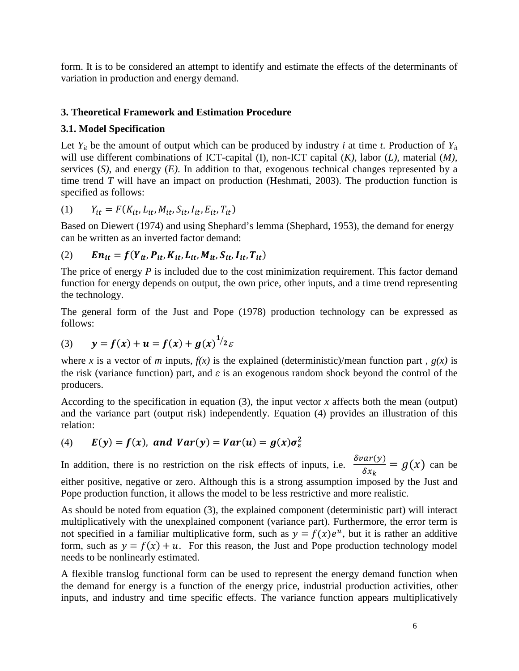form. It is to be considered an attempt to identify and estimate the effects of the determinants of variation in production and energy demand.

# **3. Theoretical Framework and Estimation Procedure**

#### **3.1. Model Specification**

Let  $Y_{it}$  be the amount of output which can be produced by industry *i* at time *t*. Production of  $Y_{it}$ will use different combinations of ICT-capital (I), non-ICT capital (*K)*, labor (*L)*, material (*M)*, services (*S)*, and energy (*E)*. In addition to that, exogenous technical changes represented by a time trend *T* will have an impact on production [\(Heshmati, 2003\)](#page-22-10). The production function is specified as follows:

(1) 
$$
Y_{it} = F(K_{it}, L_{it}, M_{it}, S_{it}, I_{it}, E_{it}, T_{it})
$$

Based on Diewert (1974) and using Shephard's lemma (Shephard, 1953), the demand for energy can be written as an inverted factor demand:

(2) 
$$
En_{it} = f(Y_{it}, P_{it}, K_{it}, L_{it}, M_{it}, S_{it}, I_{it}, T_{it})
$$

The price of energy *P* is included due to the cost minimization requirement. This factor demand function for energy depends on output, the own price, other inputs, and a time trend representing the technology.

The general form of the Just and Pope (1978) production technology can be expressed as follows:

(3) 
$$
y = f(x) + u = f(x) + g(x)^{1/2} \varepsilon
$$

where *x* is a vector of *m* inputs,  $f(x)$  is the explained (deterministic)/mean function part,  $g(x)$  is the risk (variance function) part, and *ε* is an exogenous random shock beyond the control of the producers.

According to the specification in equation  $(3)$ , the input vector *x* affects both the mean (output) and the variance part (output risk) independently. Equation (4) provides an illustration of this relation:

(4) 
$$
E(y) = f(x)
$$
, and  $Var(y) = Var(u) = g(x)\sigma_{\varepsilon}^2$ 

In addition, there is no restriction on the risk effects of inputs, i.e.  $\frac{\partial var(y)}{\partial y}$  $\frac{dE(y)}{\delta x_k} = g(x)$  can be either positive, negative or zero. Although this is a strong assumption imposed by the Just and Pope production function, it allows the model to be less restrictive and more realistic.

As should be noted from equation (3), the explained component (deterministic part) will interact multiplicatively with the unexplained component (variance part). Furthermore, the error term is not specified in a familiar multiplicative form, such as  $y = f(x)e^u$ , but it is rather an additive form, such as  $y = f(x) + u$ . For this reason, the Just and Pope production technology model needs to be nonlinearly estimated.

A flexible translog functional form can be used to represent the energy demand function when the demand for energy is a function of the energy price, industrial production activities, other inputs, and industry and time specific effects. The variance function appears multiplicatively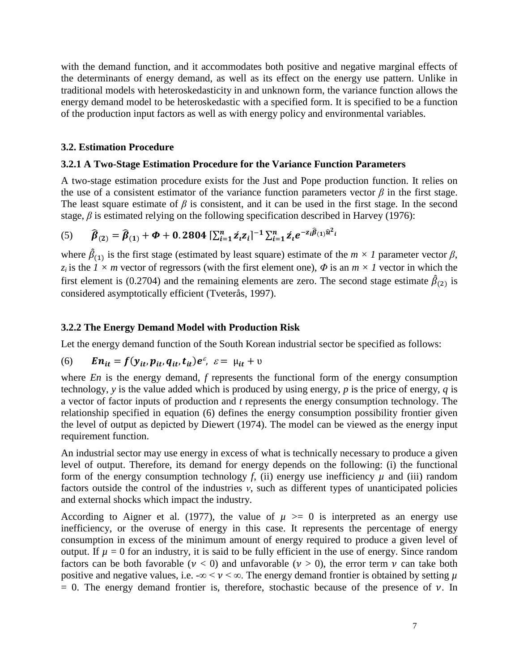with the demand function, and it accommodates both positive and negative marginal effects of the determinants of energy demand, as well as its effect on the energy use pattern. Unlike in traditional models with heteroskedasticity in and unknown form, the variance function allows the energy demand model to be heteroskedastic with a specified form. It is specified to be a function of the production input factors as well as with energy policy and environmental variables.

#### **3.2. Estimation Procedure**

#### **3.2.1 A Two-Stage Estimation Procedure for the Variance Function Parameters**

A two-stage estimation procedure exists for the Just and Pope production function. It relies on the use of a consistent estimator of the variance function parameters vector  $\beta$  in the first stage. The least square estimate of  $\beta$  is consistent, and it can be used in the first stage. In the second stage,  $\beta$  is estimated relying on the following specification described in [Harvey \(1976\):](#page-22-11)

(5) 
$$
\widehat{\beta}_{(2)} = \widehat{\beta}_{(1)} + \Phi + 0.2804 \left[ \sum_{i=1}^{n} z_i z_i \right]^{-1} \sum_{i=1}^{n} z_i e^{-z_i \widehat{\beta}_{(1)} \widehat{u}^2 i}
$$

where  $\hat{\beta}_{(1)}$  is the first stage (estimated by least square) estimate of the  $m \times 1$  parameter vector  $\beta$ , *z<sub>i</sub>* is the  $\overrightarrow{l} \times \overrightarrow{m}$  vector of regressors (with the first element one),  $\Phi$  is an  $\overrightarrow{m} \times \overrightarrow{l}$  vector in which the first element is (0.2704) and the remaining elements are zero. The second stage estimate  $\hat{\beta}_{(2)}$  is considered asymptotically efficient [\(Tveterås, 1997\)](#page-24-6).

#### **3.2.2 The Energy Demand Model with Production Risk**

Let the energy demand function of the South Korean industrial sector be specified as follows:

(6) 
$$
En_{it} = f(y_{it}, p_{it}, q_{it}, t_{it})e^{\varepsilon}, \varepsilon = \mu_{it} + \nu
$$

where *En* is the energy demand, *f* represents the functional form of the energy consumption technology, *y* is the value added which is produced by using energy, *p* is the price of energy, *q* is a vector of factor inputs of production and *t* represents the energy consumption technology. The relationship specified in equation (6) defines the energy consumption possibility frontier given the level of output as depicted by [Diewert \(1974\).](#page-21-12) The model can be viewed as the energy input requirement function.

An industrial sector may use energy in excess of what is technically necessary to produce a given level of output. Therefore, its demand for energy depends on the following: (i) the functional form of the energy consumption technology *f*, (ii) energy use inefficiency  $\mu$  and (iii) random factors outside the control of the industries *ν*, such as different types of unanticipated policies and external shocks which impact the industry.

According to [Aigner et al. \(1977\),](#page-21-13) the value of  $\mu$  >= 0 is interpreted as an energy use inefficiency, or the overuse of energy in this case. It represents the percentage of energy consumption in excess of the minimum amount of energy required to produce a given level of output. If  $\mu = 0$  for an industry, it is said to be fully efficient in the use of energy. Since random factors can be both favorable ( $\nu < 0$ ) and unfavorable ( $\nu > 0$ ), the error term  $\nu$  can take both positive and negative values, i.e.  $-\infty < \nu < \infty$ . The energy demand frontier is obtained by setting  $\mu$  $= 0$ . The energy demand frontier is, therefore, stochastic because of the presence of  $\nu$ . In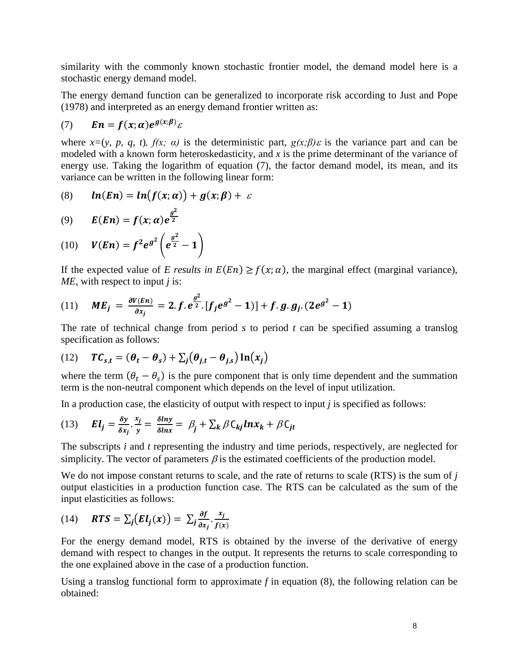similarity with the commonly known stochastic frontier model, the demand model here is a stochastic energy demand model.

The energy demand function can be generalized to incorporate risk according to [Just and Pope](#page-22-7)  (1978) and interpreted as an energy demand frontier written as:

$$
(7) \qquad \mathbf{En} = f(x; \alpha) e^{g(x; \beta)} \varepsilon
$$

where  $x=(y, p, q, t)$ ,  $f(x; \alpha)$  is the deterministic part,  $g(x;\beta)\varepsilon$  is the variance part and can be modeled with a known form heteroskedasticity, and *x* is the prime determinant of the variance of energy use. Taking the logarithm of equation (7), the factor demand model, its mean, and its variance can be written in the following linear form:

$$
(8) \qquad \ln(En) = \ln(f(x;\alpha)) + g(x;\beta) + \varepsilon
$$

 $\overline{2}$ 

$$
(9) \qquad E(En) = f(x; \alpha) e^{\frac{g^2}{2}}
$$

(10) 
$$
V(En) = f^2 e^{g^2} \left( e^{\frac{g^2}{2}} - 1 \right)
$$

If the expected value of *E* results in  $E(En) \ge f(x; \alpha)$ , the marginal effect (marginal variance), *ME*, with respect to input *j* is:

(11) 
$$
ME_j = \frac{\partial V(En)}{\partial x_j} = 2.f. e^{\frac{g^2}{2}} [f_j e^{g^2} - 1] + f.g. g_j. (2e^{g^2} - 1)
$$

The rate of technical change from period *s* to period *t* can be specified assuming a translog specification as follows:

(12) 
$$
TC_{s,t} = (\theta_t - \theta_s) + \sum_j (\theta_{j,t} - \theta_{j,s}) \ln(x_j)
$$

where the term  $(\theta_t - \theta_s)$  is the pure component that is only time dependent and the summation term is the non-neutral component which depends on the level of input utilization.

In a production case, the elasticity of output with respect to input *j* is specified as follows:

(13) 
$$
EI_j = \frac{\delta y}{\delta x_j} \cdot \frac{x_j}{y} = \frac{\delta lny}{\delta lnx} = \beta_j + \sum_k \beta C_{kj} ln x_k + \beta C_{jt}
$$

The subscripts *i* and *t* representing the industry and time periods, respectively, are neglected for simplicity. The vector of parameters  $\beta$  is the estimated coefficients of the production model.

We do not impose constant returns to scale, and the rate of returns to scale (RTS) is the sum of *j* output elasticities in a production function case. The RTS can be calculated as the sum of the input elasticities as follows:

(14) 
$$
RTS = \sum_j (EI_j(x)) = \sum_j \frac{\partial f}{\partial x_j} \cdot \frac{x_j}{f(x)}
$$

For the energy demand model, RTS is obtained by the inverse of the derivative of energy demand with respect to changes in the output. It represents the returns to scale corresponding to the one explained above in the case of a production function.

Using a translog functional form to approximate  $f$  in equation  $(8)$ , the following relation can be obtained: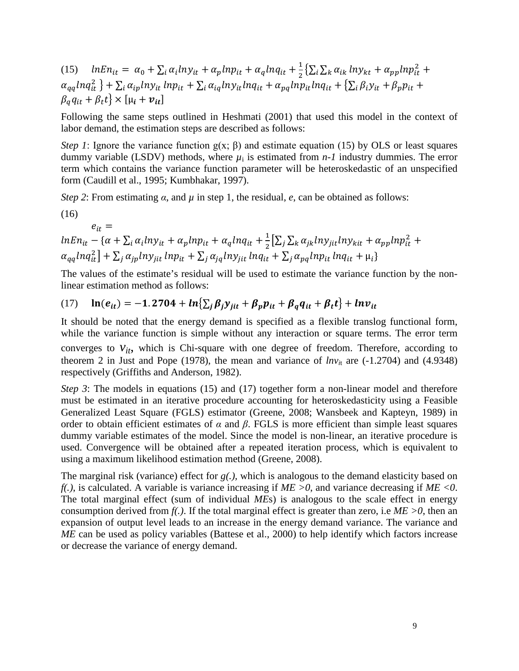(15)  $lnEn_{it} = \alpha_0 + \sum_i \alpha_i ln y_{it} + \alpha_p ln p_{it} + \alpha_q ln q_{it} + \frac{1}{2} \left\{ \sum_i \sum_k \alpha_{ik} ln y_{kt} + \alpha_{pp} ln p_{it}^2 + \frac{1}{2} \sum_i \sum_k \alpha_{ik} ln y_{kt} + \frac{1}{2} \sum_k \alpha_{ik} ln q_{it} \right\}$  $\alpha_{qq}$ ln $q_{it}^2$  } +  $\sum_i \alpha_{ip}$ ln $y_{it}$  ln $p_{it}$  +  $\sum_i \alpha_{iq}$ ln $y_{it}$ ln $q_{it}$  +  $\alpha_{pq}$ ln $p_{it}$ ln $q_{it}$  +  $\{\sum_i \beta_i y_{it}$  +  $\beta_p p_{it}$  +  $\beta_a q_{it} + \beta_t t$   $\times$   $[\mu_i + \nu_{it}]$ 

Following the same steps outlined in [Heshmati \(2001\)](#page-22-12) that used this model in the context of labor demand, the estimation steps are described as follows:

*Step 1*: Ignore the variance function  $g(x; \beta)$  and estimate equation (15) by OLS or least squares dummy variable (LSDV) methods, where  $\mu_i$  is estimated from  $n-1$  industry dummies. The error term which contains the variance function parameter will be heteroskedastic of an unspecified form [\(Caudill et al., 1995;](#page-21-14) [Kumbhakar, 1997\)](#page-23-10).

*Step 2*: From estimating  $\alpha$ , and  $\mu$  in step 1, the residual,  $e$ , can be obtained as follows:

(16)

 $e_{it} =$ 

$$
lnEn_{it} - \{\alpha + \sum_{i} \alpha_{i} ln y_{it} + \alpha_{p} ln p_{it} + \alpha_{q} ln q_{it} + \frac{1}{2} [\sum_{j} \sum_{k} \alpha_{jk} ln y_{jit} ln y_{kit} + \alpha_{pp} ln p_{it}^{2} + \alpha_{qq} ln q_{it}^{2}] + \sum_{j} \alpha_{jp} ln y_{jit} ln p_{it} + \sum_{j} \alpha_{jq} ln y_{jit} ln q_{it} + \sum_{j} \alpha_{pq} ln p_{it} ln q_{it} + \mu_{i}\}
$$

The values of the estimate's residual will be used to estimate the variance function by the nonlinear estimation method as follows:

$$
(17) \quad \ln(e_{it}) = -1.2704 + \ln\{\sum_j \beta_j y_{jit} + \beta_p p_{it} + \beta_q q_{it} + \beta_t t\} + \ln v_{it}
$$

It should be noted that the energy demand is specified as a flexible translog functional form, while the variance function is simple without any interaction or square terms. The error term converges to  $v_{it}$ , which is Chi-square with one degree of freedom. Therefore, according to theorem 2 in [Just and Pope \(1978\),](#page-22-7) the mean and variance of  $lnv_{it}$  are (-1.2704) and (4.9348) respectively [\(Griffiths and Anderson, 1982\)](#page-22-13).

*Step 3*: The models in equations (15) and (17) together form a non-linear model and therefore must be estimated in an iterative procedure accounting for heteroskedasticity using a Feasible Generalized Least Square (FGLS) estimator [\(Greene, 2008;](#page-22-14) [Wansbeek and Kapteyn, 1989\)](#page-24-7) in order to obtain efficient estimates of  $\alpha$  and  $\beta$ . FGLS is more efficient than simple least squares dummy variable estimates of the model. Since the model is non-linear, an iterative procedure is used. Convergence will be obtained after a repeated iteration process, which is equivalent to using a maximum likelihood estimation method [\(Greene, 2008\)](#page-22-14).

The marginal risk (variance) effect for *g(.),* which is analogous to the demand elasticity based on *f(.)*, is calculated. A variable is variance increasing if *ME >0*, and variance decreasing if *ME <0*. The total marginal effect (sum of individual *ME*s) is analogous to the scale effect in energy consumption derived from  $f(.)$ . If the total marginal effect is greater than zero, i.e  $ME > 0$ , then an expansion of output level leads to an increase in the energy demand variance. The variance and *ME* can be used as policy variables [\(Battese et al., 2000\)](#page-21-15) to help identify which factors increase or decrease the variance of energy demand.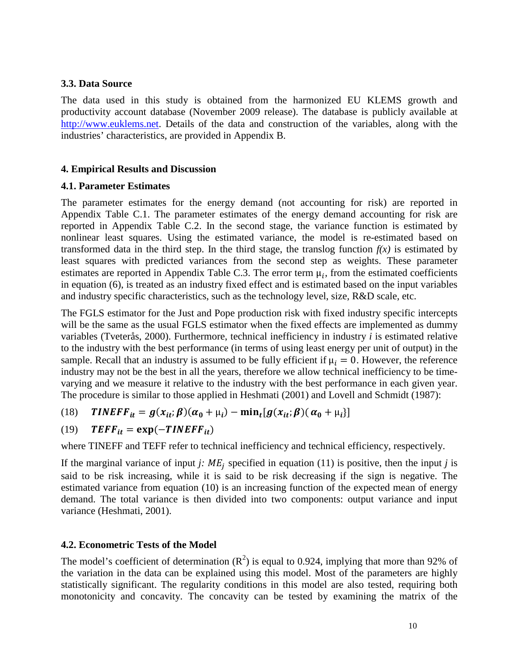#### **3.3. Data Source**

The data used in this study is obtained from the harmonized EU KLEMS growth and productivity account database (November 2009 release). The database is publicly available at [http://www.euklems.net.](http://www.euklems.net/) Details of the data and construction of the variables, along with the industries' characteristics, are provided in Appendix B.

#### **4. Empirical Results and Discussion**

#### **4.1. Parameter Estimates**

The parameter estimates for the energy demand (not accounting for risk) are reported in Appendix Table C.1. The parameter estimates of the energy demand accounting for risk are reported in Appendix Table C.2. In the second stage, the variance function is estimated by nonlinear least squares. Using the estimated variance, the model is re-estimated based on transformed data in the third step. In the third stage, the translog function  $f(x)$  is estimated by least squares with predicted variances from the second step as weights. These parameter estimates are reported in Appendix Table C.3. The error term  $\mu_i$ , from the estimated coefficients in equation (6), is treated as an industry fixed effect and is estimated based on the input variables and industry specific characteristics, such as the technology level, size, R&D scale, etc.

The FGLS estimator for the Just and Pope production risk with fixed industry specific intercepts will be the same as the usual FGLS estimator when the fixed effects are implemented as dummy variables [\(Tveterås, 2000\)](#page-24-3). Furthermore, technical inefficiency in industry *i* is estimated relative to the industry with the best performance (in terms of using least energy per unit of output) in the sample. Recall that an industry is assumed to be fully efficient if  $\mu_i = 0$ . However, the reference industry may not be the best in all the years, therefore we allow technical inefficiency to be timevarying and we measure it relative to the industry with the best performance in each given year. The procedure is similar to those applied in [Heshmati \(2001\)](#page-22-12) and [Lovell and Schmidt \(1987\):](#page-23-11)

(18) 
$$
TIMEFF_{it} = g(x_{it}; \beta)(\alpha_0 + \mu_i) - \min_t [g(x_{it}; \beta)(\alpha_0 + \mu_i)]
$$

(19) 
$$
TEFF_{it} = \exp(-TINEFF_{it})
$$

where TINEFF and TEFF refer to technical inefficiency and technical efficiency, respectively.

If the marginal variance of input *j:*  $ME_i$  specified in equation (11) is positive, then the input *j* is said to be risk increasing, while it is said to be risk decreasing if the sign is negative. The estimated variance from equation (10) is an increasing function of the expected mean of energy demand. The total variance is then divided into two components: output variance and input variance [\(Heshmati, 2001\)](#page-22-12).

#### **4.2. Econometric Tests of the Model**

The model's coefficient of determination  $(R^2)$  is equal to 0.924, implying that more than 92% of the variation in the data can be explained using this model. Most of the parameters are highly statistically significant. The regularity conditions in this model are also tested, requiring both monotonicity and concavity. The concavity can be tested by examining the matrix of the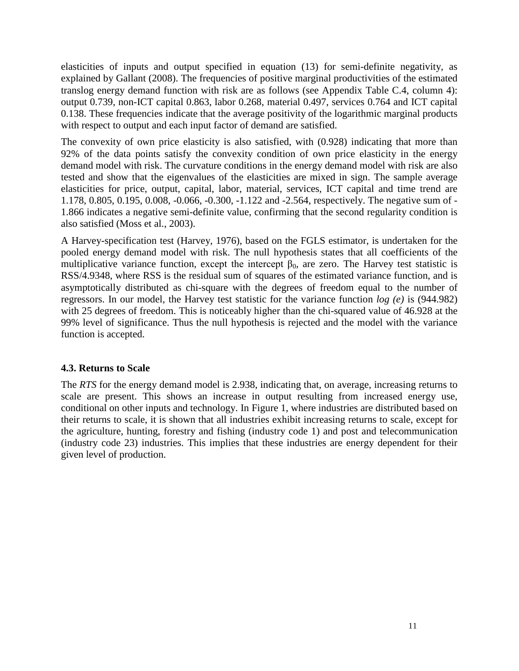elasticities of inputs and output specified in equation (13) for semi-definite negativity, as explained by [Gallant \(2008\).](#page-22-15) The frequencies of positive marginal productivities of the estimated translog energy demand function with risk are as follows (see Appendix Table C.4, column 4): output 0.739, non-ICT capital 0.863, labor 0.268, material 0.497, services 0.764 and ICT capital 0.138. These frequencies indicate that the average positivity of the logarithmic marginal products with respect to output and each input factor of demand are satisfied.

The convexity of own price elasticity is also satisfied, with (0.928) indicating that more than 92% of the data points satisfy the convexity condition of own price elasticity in the energy demand model with risk. The curvature conditions in the energy demand model with risk are also tested and show that the eigenvalues of the elasticities are mixed in sign. The sample average elasticities for price, output, capital, labor, material, services, ICT capital and time trend are 1.178, 0.805, 0.195, 0.008, -0.066, -0.300, -1.122 and -2.564, respectively. The negative sum of - 1.866 indicates a negative semi-definite value, confirming that the second regularity condition is also satisfied [\(Moss et al., 2003\)](#page-23-12).

A Harvey-specification test [\(Harvey, 1976\)](#page-22-11), based on the FGLS estimator, is undertaken for the pooled energy demand model with risk. The null hypothesis states that all coefficients of the multiplicative variance function, except the intercept  $\beta_0$ , are zero. The Harvey test statistic is RSS/4.9348, where RSS is the residual sum of squares of the estimated variance function, and is asymptotically distributed as chi-square with the degrees of freedom equal to the number of regressors. In our model, the Harvey test statistic for the variance function *log (e)* is (944.982) with 25 degrees of freedom. This is noticeably higher than the chi-squared value of 46.928 at the 99% level of significance. Thus the null hypothesis is rejected and the model with the variance function is accepted.

# **4.3. Returns to Scale**

The *RTS* for the energy demand model is 2.938, indicating that, on average, increasing returns to scale are present. This shows an increase in output resulting from increased energy use, conditional on other inputs and technology. In Figure 1, where industries are distributed based on their returns to scale, it is shown that all industries exhibit increasing returns to scale, except for the agriculture, hunting, forestry and fishing (industry code 1) and post and telecommunication (industry code 23) industries. This implies that these industries are energy dependent for their given level of production.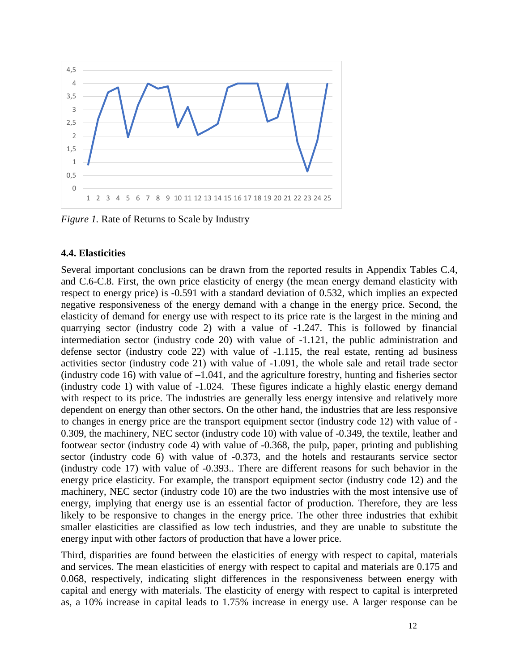

*Figure 1.* Rate of Returns to Scale by Industry

#### **4.4. Elasticities**

Several important conclusions can be drawn from the reported results in Appendix Tables C.4, and C.6-C.8. First, the own price elasticity of energy (the mean energy demand elasticity with respect to energy price) is -0.591 with a standard deviation of 0.532, which implies an expected negative responsiveness of the energy demand with a change in the energy price. Second, the elasticity of demand for energy use with respect to its price rate is the largest in the mining and quarrying sector (industry code 2) with a value of -1.247. This is followed by financial intermediation sector (industry code 20) with value of -1.121, the public administration and defense sector (industry code 22) with value of -1.115, the real estate, renting ad business activities sector (industry code 21) with value of -1.091, the whole sale and retail trade sector (industry code 16) with value of  $-1.041$ , and the agriculture forestry, hunting and fisheries sector (industry code 1) with value of -1.024. These figures indicate a highly elastic energy demand with respect to its price. The industries are generally less energy intensive and relatively more dependent on energy than other sectors. On the other hand, the industries that are less responsive to changes in energy price are the transport equipment sector (industry code 12) with value of - 0.309, the machinery, NEC sector (industry code 10) with value of -0.349, the textile, leather and footwear sector (industry code 4) with value of -0.368, the pulp, paper, printing and publishing sector (industry code 6) with value of -0.373, and the hotels and restaurants service sector (industry code 17) with value of -0.393.. There are different reasons for such behavior in the energy price elasticity. For example, the transport equipment sector (industry code 12) and the machinery, NEC sector (industry code 10) are the two industries with the most intensive use of energy, implying that energy use is an essential factor of production. Therefore, they are less likely to be responsive to changes in the energy price. The other three industries that exhibit smaller elasticities are classified as low tech industries, and they are unable to substitute the energy input with other factors of production that have a lower price.

Third, disparities are found between the elasticities of energy with respect to capital, materials and services. The mean elasticities of energy with respect to capital and materials are 0.175 and 0.068, respectively, indicating slight differences in the responsiveness between energy with capital and energy with materials. The elasticity of energy with respect to capital is interpreted as, a 10% increase in capital leads to 1.75% increase in energy use. A larger response can be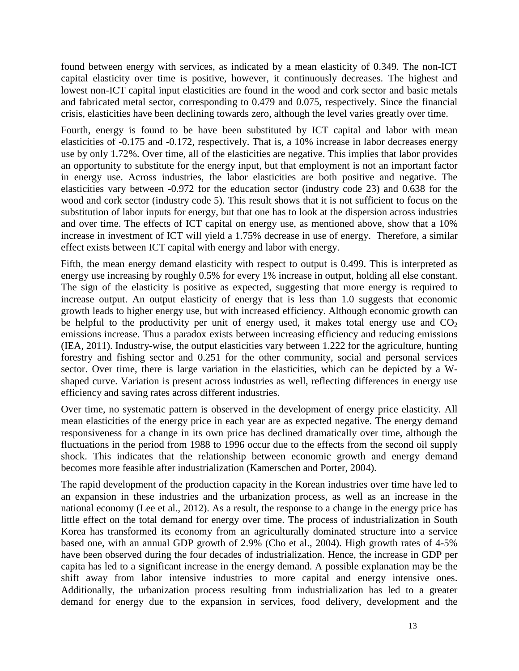found between energy with services, as indicated by a mean elasticity of 0.349. The non-ICT capital elasticity over time is positive, however, it continuously decreases. The highest and lowest non-ICT capital input elasticities are found in the wood and cork sector and basic metals and fabricated metal sector, corresponding to 0.479 and 0.075, respectively. Since the financial crisis, elasticities have been declining towards zero, although the level varies greatly over time.

Fourth, energy is found to be have been substituted by ICT capital and labor with mean elasticities of -0.175 and -0.172, respectively. That is, a 10% increase in labor decreases energy use by only 1.72%. Over time, all of the elasticities are negative. This implies that labor provides an opportunity to substitute for the energy input, but that employment is not an important factor in energy use. Across industries, the labor elasticities are both positive and negative. The elasticities vary between -0.972 for the education sector (industry code 23) and 0.638 for the wood and cork sector (industry code 5). This result shows that it is not sufficient to focus on the substitution of labor inputs for energy, but that one has to look at the dispersion across industries and over time. The effects of ICT capital on energy use, as mentioned above, show that a 10% increase in investment of ICT will yield a 1.75% decrease in use of energy. Therefore, a similar effect exists between ICT capital with energy and labor with energy.

Fifth, the mean energy demand elasticity with respect to output is 0.499. This is interpreted as energy use increasing by roughly 0.5% for every 1% increase in output, holding all else constant. The sign of the elasticity is positive as expected, suggesting that more energy is required to increase output. An output elasticity of energy that is less than 1.0 suggests that economic growth leads to higher energy use, but with increased efficiency. Although economic growth can be helpful to the productivity per unit of energy used, it makes total energy use and  $CO<sub>2</sub>$ emissions increase. Thus a paradox exists between increasing efficiency and reducing emissions [\(IEA, 2011\)](#page-22-16). Industry-wise, the output elasticities vary between 1.222 for the agriculture, hunting forestry and fishing sector and 0.251 for the other community, social and personal services sector. Over time, there is large variation in the elasticities, which can be depicted by a Wshaped curve. Variation is present across industries as well, reflecting differences in energy use efficiency and saving rates across different industries.

Over time, no systematic pattern is observed in the development of energy price elasticity. All mean elasticities of the energy price in each year are as expected negative. The energy demand responsiveness for a change in its own price has declined dramatically over time, although the fluctuations in the period from 1988 to 1996 occur due to the effects from the second oil supply shock. This indicates that the relationship between economic growth and energy demand becomes more feasible after industrialization [\(Kamerschen and Porter, 2004\)](#page-22-17).

The rapid development of the production capacity in the Korean industries over time have led to an expansion in these industries and the urbanization process, as well as an increase in the national economy [\(Lee et al., 2012\)](#page-23-13). As a result, the response to a change in the energy price has little effect on the total demand for energy over time. The process of industrialization in South Korea has transformed its economy from an agriculturally dominated structure into a service based one, with an annual GDP growth of 2.9% [\(Cho et al., 2004\)](#page-21-16). High growth rates of 4-5% have been observed during the four decades of industrialization. Hence, the increase in GDP per capita has led to a significant increase in the energy demand. A possible explanation may be the shift away from labor intensive industries to more capital and energy intensive ones. Additionally, the urbanization process resulting from industrialization has led to a greater demand for energy due to the expansion in services, food delivery, development and the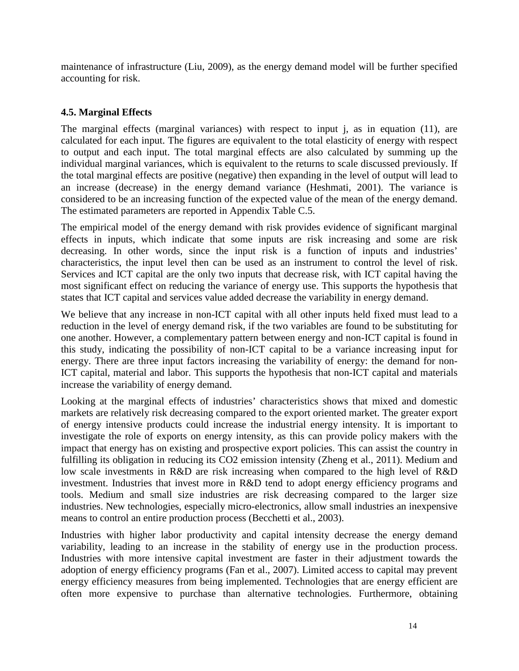maintenance of infrastructure [\(Liu, 2009\)](#page-23-14), as the energy demand model will be further specified accounting for risk.

# **4.5. Marginal Effects**

The marginal effects (marginal variances) with respect to input j, as in equation (11), are calculated for each input. The figures are equivalent to the total elasticity of energy with respect to output and each input. The total marginal effects are also calculated by summing up the individual marginal variances, which is equivalent to the returns to scale discussed previously. If the total marginal effects are positive (negative) then expanding in the level of output will lead to an increase (decrease) in the energy demand variance [\(Heshmati, 2001\)](#page-22-12). The variance is considered to be an increasing function of the expected value of the mean of the energy demand. The estimated parameters are reported in Appendix Table C.5.

The empirical model of the energy demand with risk provides evidence of significant marginal effects in inputs, which indicate that some inputs are risk increasing and some are risk decreasing. In other words, since the input risk is a function of inputs and industries' characteristics, the input level then can be used as an instrument to control the level of risk. Services and ICT capital are the only two inputs that decrease risk, with ICT capital having the most significant effect on reducing the variance of energy use. This supports the hypothesis that states that ICT capital and services value added decrease the variability in energy demand.

We believe that any increase in non-ICT capital with all other inputs held fixed must lead to a reduction in the level of energy demand risk, if the two variables are found to be substituting for one another. However, a complementary pattern between energy and non-ICT capital is found in this study, indicating the possibility of non-ICT capital to be a variance increasing input for energy. There are three input factors increasing the variability of energy: the demand for non-ICT capital, material and labor. This supports the hypothesis that non-ICT capital and materials increase the variability of energy demand.

Looking at the marginal effects of industries' characteristics shows that mixed and domestic markets are relatively risk decreasing compared to the export oriented market. The greater export of energy intensive products could increase the industrial energy intensity. It is important to investigate the role of exports on energy intensity, as this can provide policy makers with the impact that energy has on existing and prospective export policies. This can assist the country in fulfilling its obligation in reducing its CO2 emission intensity [\(Zheng et](#page-24-8) al., 2011). Medium and low scale investments in R&D are risk increasing when compared to the high level of R&D investment. Industries that invest more in R&D tend to adopt energy efficiency programs and tools. Medium and small size industries are risk decreasing compared to the larger size industries. New technologies, especially micro-electronics, allow small industries an inexpensive means to control an entire production process [\(Becchetti et al., 2003\)](#page-21-17).

Industries with higher labor productivity and capital intensity decrease the energy demand variability, leading to an increase in the stability of energy use in the production process. Industries with more intensive capital investment are faster in their adjustment towards the adoption of energy efficiency programs [\(Fan et al., 2007\)](#page-22-18). Limited access to capital may prevent energy efficiency measures from being implemented. Technologies that are energy efficient are often more expensive to purchase than alternative technologies. Furthermore, obtaining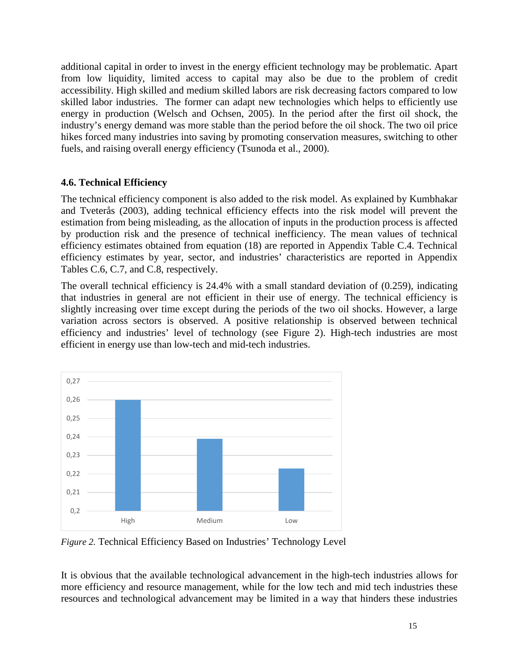additional capital in order to invest in the energy efficient technology may be problematic. Apart from low liquidity, limited access to capital may also be due to the problem of credit accessibility. High skilled and medium skilled labors are risk decreasing factors compared to low skilled labor industries. The former can adapt new technologies which helps to efficiently use energy in production [\(Welsch and Ochsen, 2005\)](#page-24-9). In the period after the first oil shock, the industry's energy demand was more stable than the period before the oil shock. The two oil price hikes forced many industries into saving by promoting conservation measures, switching to other fuels, and raising overall energy efficiency [\(Tsunoda et al., 2000\)](#page-24-10).

# **4.6. Technical Efficiency**

The technical efficiency component is also added to the risk model. As explained by [Kumbhakar](#page-23-7)  and Tveterås (2003), adding technical efficiency effects into the risk model will prevent the estimation from being misleading, as the allocation of inputs in the production process is affected by production risk and the presence of technical inefficiency. The mean values of technical efficiency estimates obtained from equation (18) are reported in Appendix Table C.4. Technical efficiency estimates by year, sector, and industries' characteristics are reported in Appendix Tables C.6, C.7, and C.8, respectively.

The overall technical efficiency is 24.4% with a small standard deviation of (0.259), indicating that industries in general are not efficient in their use of energy. The technical efficiency is slightly increasing over time except during the periods of the two oil shocks. However, a large variation across sectors is observed. A positive relationship is observed between technical efficiency and industries' level of technology (see Figure 2). High-tech industries are most efficient in energy use than low-tech and mid-tech industries.



*Figure 2.* Technical Efficiency Based on Industries' Technology Level

It is obvious that the available technological advancement in the high-tech industries allows for more efficiency and resource management, while for the low tech and mid tech industries these resources and technological advancement may be limited in a way that hinders these industries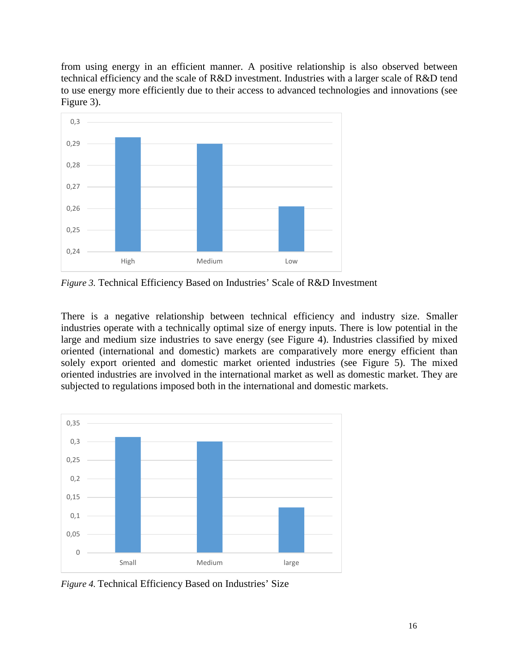from using energy in an efficient manner. A positive relationship is also observed between technical efficiency and the scale of R&D investment. Industries with a larger scale of R&D tend to use energy more efficiently due to their access to advanced technologies and innovations (see Figure 3).



*Figure 3.* Technical Efficiency Based on Industries' Scale of R&D Investment

There is a negative relationship between technical efficiency and industry size. Smaller industries operate with a technically optimal size of energy inputs. There is low potential in the large and medium size industries to save energy (see Figure 4). Industries classified by mixed oriented (international and domestic) markets are comparatively more energy efficient than solely export oriented and domestic market oriented industries (see Figure 5). The mixed oriented industries are involved in the international market as well as domestic market. They are subjected to regulations imposed both in the international and domestic markets.



*Figure 4.* Technical Efficiency Based on Industries' Size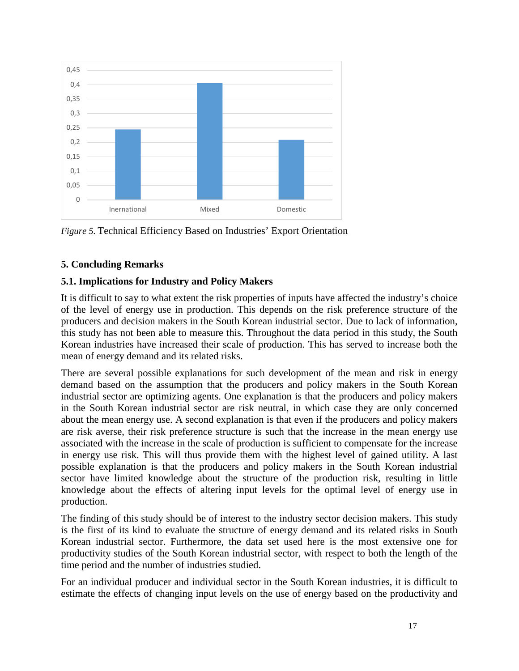

*Figure 5.* Technical Efficiency Based on Industries' Export Orientation

# **5. Concluding Remarks**

# **5.1. Implications for Industry and Policy Makers**

It is difficult to say to what extent the risk properties of inputs have affected the industry's choice of the level of energy use in production. This depends on the risk preference structure of the producers and decision makers in the South Korean industrial sector. Due to lack of information, this study has not been able to measure this. Throughout the data period in this study, the South Korean industries have increased their scale of production. This has served to increase both the mean of energy demand and its related risks.

There are several possible explanations for such development of the mean and risk in energy demand based on the assumption that the producers and policy makers in the South Korean industrial sector are optimizing agents. One explanation is that the producers and policy makers in the South Korean industrial sector are risk neutral, in which case they are only concerned about the mean energy use. A second explanation is that even if the producers and policy makers are risk averse, their risk preference structure is such that the increase in the mean energy use associated with the increase in the scale of production is sufficient to compensate for the increase in energy use risk. This will thus provide them with the highest level of gained utility. A last possible explanation is that the producers and policy makers in the South Korean industrial sector have limited knowledge about the structure of the production risk, resulting in little knowledge about the effects of altering input levels for the optimal level of energy use in production.

The finding of this study should be of interest to the industry sector decision makers. This study is the first of its kind to evaluate the structure of energy demand and its related risks in South Korean industrial sector. Furthermore, the data set used here is the most extensive one for productivity studies of the South Korean industrial sector, with respect to both the length of the time period and the number of industries studied.

For an individual producer and individual sector in the South Korean industries, it is difficult to estimate the effects of changing input levels on the use of energy based on the productivity and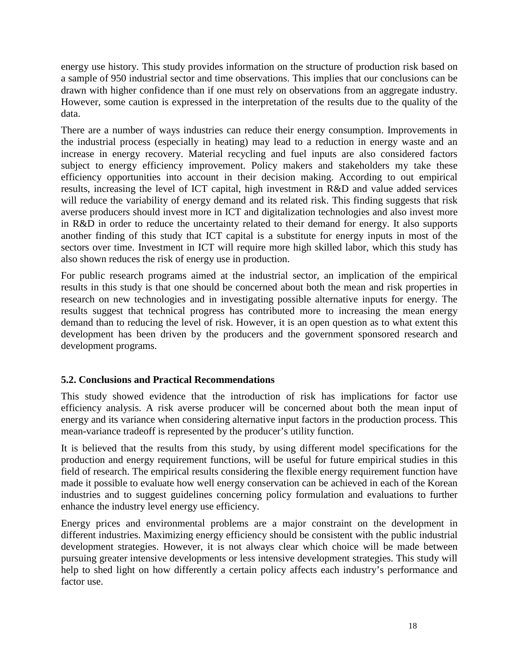energy use history. This study provides information on the structure of production risk based on a sample of 950 industrial sector and time observations. This implies that our conclusions can be drawn with higher confidence than if one must rely on observations from an aggregate industry. However, some caution is expressed in the interpretation of the results due to the quality of the data.

There are a number of ways industries can reduce their energy consumption. Improvements in the industrial process (especially in heating) may lead to a reduction in energy waste and an increase in energy recovery. Material recycling and fuel inputs are also considered factors subject to energy efficiency improvement. Policy makers and stakeholders my take these efficiency opportunities into account in their decision making. According to out empirical results, increasing the level of ICT capital, high investment in R&D and value added services will reduce the variability of energy demand and its related risk. This finding suggests that risk averse producers should invest more in ICT and digitalization technologies and also invest more in R&D in order to reduce the uncertainty related to their demand for energy. It also supports another finding of this study that ICT capital is a substitute for energy inputs in most of the sectors over time. Investment in ICT will require more high skilled labor, which this study has also shown reduces the risk of energy use in production.

For public research programs aimed at the industrial sector, an implication of the empirical results in this study is that one should be concerned about both the mean and risk properties in research on new technologies and in investigating possible alternative inputs for energy. The results suggest that technical progress has contributed more to increasing the mean energy demand than to reducing the level of risk. However, it is an open question as to what extent this development has been driven by the producers and the government sponsored research and development programs.

# **5.2. Conclusions and Practical Recommendations**

This study showed evidence that the introduction of risk has implications for factor use efficiency analysis. A risk averse producer will be concerned about both the mean input of energy and its variance when considering alternative input factors in the production process. This mean-variance tradeoff is represented by the producer's utility function.

It is believed that the results from this study, by using different model specifications for the production and energy requirement functions, will be useful for future empirical studies in this field of research. The empirical results considering the flexible energy requirement function have made it possible to evaluate how well energy conservation can be achieved in each of the Korean industries and to suggest guidelines concerning policy formulation and evaluations to further enhance the industry level energy use efficiency.

Energy prices and environmental problems are a major constraint on the development in different industries. Maximizing energy efficiency should be consistent with the public industrial development strategies. However, it is not always clear which choice will be made between pursuing greater intensive developments or less intensive development strategies. This study will help to shed light on how differently a certain policy affects each industry's performance and factor use.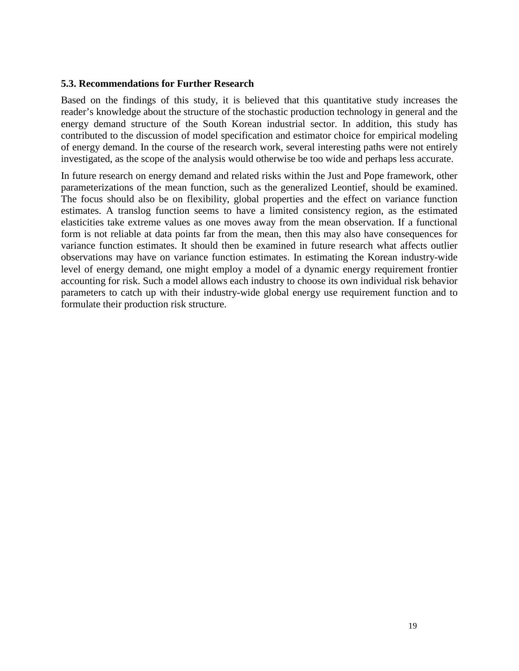#### **5.3. Recommendations for Further Research**

Based on the findings of this study, it is believed that this quantitative study increases the reader's knowledge about the structure of the stochastic production technology in general and the energy demand structure of the South Korean industrial sector. In addition, this study has contributed to the discussion of model specification and estimator choice for empirical modeling of energy demand. In the course of the research work, several interesting paths were not entirely investigated, as the scope of the analysis would otherwise be too wide and perhaps less accurate.

In future research on energy demand and related risks within the Just and Pope framework, other parameterizations of the mean function, such as the generalized Leontief, should be examined. The focus should also be on flexibility, global properties and the effect on variance function estimates. A translog function seems to have a limited consistency region, as the estimated elasticities take extreme values as one moves away from the mean observation. If a functional form is not reliable at data points far from the mean, then this may also have consequences for variance function estimates. It should then be examined in future research what affects outlier observations may have on variance function estimates. In estimating the Korean industry-wide level of energy demand, one might employ a model of a dynamic energy requirement frontier accounting for risk. Such a model allows each industry to choose its own individual risk behavior parameters to catch up with their industry-wide global energy use requirement function and to formulate their production risk structure.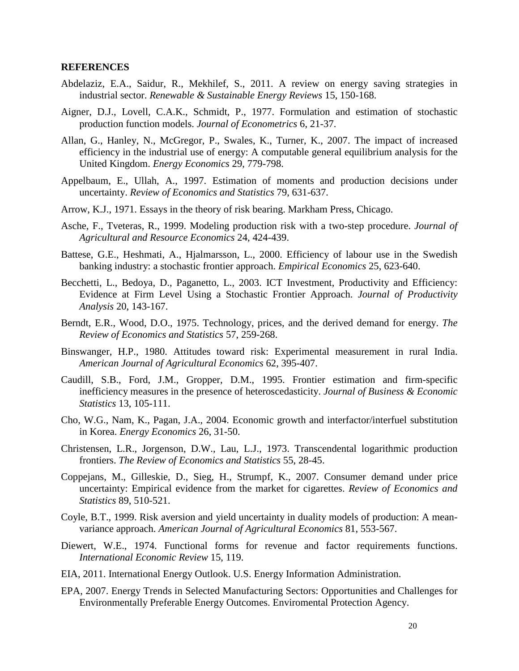#### **REFERENCES**

- <span id="page-21-1"></span>Abdelaziz, E.A., Saidur, R., Mekhilef, S., 2011. A review on energy saving strategies in industrial sector. *Renewable & Sustainable Energy Reviews* 15, 150-168.
- <span id="page-21-13"></span>Aigner, D.J., Lovell, C.A.K., Schmidt, P., 1977. Formulation and estimation of stochastic production function models. *Journal of Econometrics* 6, 21-37.
- <span id="page-21-3"></span>Allan, G., Hanley, N., McGregor, P., Swales, K., Turner, K., 2007. The impact of increased efficiency in the industrial use of energy: A computable general equilibrium analysis for the United Kingdom. *Energy Economics* 29, 779-798.
- <span id="page-21-10"></span>Appelbaum, E., Ullah, A., 1997. Estimation of moments and production decisions under uncertainty. *Review of Economics and Statistics* 79, 631-637.
- <span id="page-21-6"></span>Arrow, K.J., 1971. Essays in the theory of risk bearing. Markham Press, Chicago.
- <span id="page-21-8"></span>Asche, F., Tveteras, R., 1999. Modeling production risk with a two-step procedure. *Journal of Agricultural and Resource Economics* 24, 424-439.
- <span id="page-21-15"></span>Battese, G.E., Heshmati, A., Hjalmarsson, L., 2000. Efficiency of labour use in the Swedish banking industry: a stochastic frontier approach. *Empirical Economics* 25, 623-640.
- <span id="page-21-17"></span>Becchetti, L., Bedoya, D., Paganetto, L., 2003. ICT Investment, Productivity and Efficiency: Evidence at Firm Level Using a Stochastic Frontier Approach. *Journal of Productivity Analysis* 20, 143-167.
- <span id="page-21-4"></span>Berndt, E.R., Wood, D.O., 1975. Technology, prices, and the derived demand for energy. *The Review of Economics and Statistics* 57, 259-268.
- <span id="page-21-7"></span>Binswanger, H.P., 1980. Attitudes toward risk: Experimental measurement in rural India. *American Journal of Agricultural Economics* 62, 395-407.
- <span id="page-21-14"></span>Caudill, S.B., Ford, J.M., Gropper, D.M., 1995. Frontier estimation and firm-specific inefficiency measures in the presence of heteroscedasticity. *Journal of Business & Economic Statistics* 13, 105-111.
- <span id="page-21-16"></span>Cho, W.G., Nam, K., Pagan, J.A., 2004. Economic growth and interfactor/interfuel substitution in Korea. *Energy Economics* 26, 31-50.
- <span id="page-21-5"></span>Christensen, L.R., Jorgenson, D.W., Lau, L.J., 1973. Transcendental logarithmic production frontiers. *The Review of Economics and Statistics* 55, 28-45.
- <span id="page-21-9"></span>Coppejans, M., Gilleskie, D., Sieg, H., Strumpf, K., 2007. Consumer demand under price uncertainty: Empirical evidence from the market for cigarettes. *Review of Economics and Statistics* 89, 510-521.
- <span id="page-21-11"></span>Coyle, B.T., 1999. Risk aversion and yield uncertainty in duality models of production: A meanvariance approach. *American Journal of Agricultural Economics* 81, 553-567.
- <span id="page-21-12"></span>Diewert, W.E., 1974. Functional forms for revenue and factor requirements functions. *International Economic Review* 15, 119.
- <span id="page-21-0"></span>EIA, 2011. International Energy Outlook. U.S. Energy Information Administration.
- <span id="page-21-2"></span>EPA, 2007. Energy Trends in Selected Manufacturing Sectors: Opportunities and Challenges for Environmentally Preferable Energy Outcomes. Enviromental Protection Agency.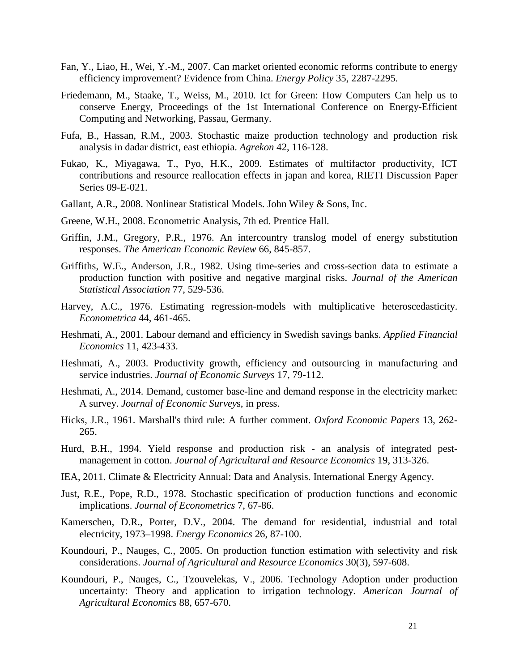- <span id="page-22-18"></span>Fan, Y., Liao, H., Wei, Y.-M., 2007. Can market oriented economic reforms contribute to energy efficiency improvement? Evidence from China. *Energy Policy* 35, 2287-2295.
- <span id="page-22-0"></span>Friedemann, M., Staake, T., Weiss, M., 2010. Ict for Green: How Computers Can help us to conserve Energy, Proceedings of the 1st International Conference on Energy-Efficient Computing and Networking, Passau, Germany.
- <span id="page-22-6"></span>Fufa, B., Hassan, R.M., 2003. Stochastic maize production technology and production risk analysis in dadar district, east ethiopia. *Agrekon* 42, 116-128.
- <span id="page-22-1"></span>Fukao, K., Miyagawa, T., Pyo, H.K., 2009. Estimates of multifactor productivity, ICT contributions and resource reallocation effects in japan and korea, RIETI Discussion Paper Series 09-E-021.
- <span id="page-22-15"></span>Gallant, A.R., 2008. Nonlinear Statistical Models. John Wiley & Sons, Inc.
- <span id="page-22-14"></span>Greene, W.H., 2008. Econometric Analysis, 7th ed. Prentice Hall.
- <span id="page-22-4"></span>Griffin, J.M., Gregory, P.R., 1976. An intercountry translog model of energy substitution responses. *The American Economic Review* 66, 845-857.
- <span id="page-22-13"></span>Griffiths, W.E., Anderson, J.R., 1982. Using time-series and cross-section data to estimate a production function with positive and negative marginal risks. *Journal of the American Statistical Association* 77, 529-536.
- <span id="page-22-11"></span>Harvey, A.C., 1976. Estimating regression-models with multiplicative heteroscedasticity. *Econometrica* 44, 461-465.
- <span id="page-22-12"></span>Heshmati, A., 2001. Labour demand and efficiency in Swedish savings banks. *Applied Financial Economics* 11, 423-433.
- <span id="page-22-10"></span>Heshmati, A., 2003. Productivity growth, efficiency and outsourcing in manufacturing and service industries. *Journal of Economic Surveys* 17, 79-112.
- <span id="page-22-2"></span>Heshmati, A., 2014. Demand, customer base-line and demand response in the electricity market: A survey. *Journal of Economic Survey*s, in press.
- <span id="page-22-3"></span>Hicks, J.R., 1961. Marshall's third rule: A further comment. *Oxford Economic Papers* 13, 262- 265.
- <span id="page-22-5"></span>Hurd, B.H., 1994. Yield response and production risk - an analysis of integrated pestmanagement in cotton. *Journal of Agricultural and Resource Economics* 19, 313-326.
- <span id="page-22-16"></span>IEA, 2011. Climate & Electricity Annual: Data and Analysis. International Energy Agency.
- <span id="page-22-7"></span>Just, R.E., Pope, R.D., 1978. Stochastic specification of production functions and economic implications. *Journal of Econometrics* 7, 67-86.
- <span id="page-22-17"></span>Kamerschen, D.R., Porter, D.V., 2004. The demand for residential, industrial and total electricity, 1973–1998. *Energy Economics* 26, 87-100.
- <span id="page-22-8"></span>Koundouri, P., Nauges, C., 2005. On production function estimation with selectivity and risk considerations. *Journal of Agricultural and Resource Economics* 30(3), 597-608.
- <span id="page-22-9"></span>Koundouri, P., Nauges, C., Tzouvelekas, V., 2006. Technology Adoption under production uncertainty: Theory and application to irrigation technology. *American Journal of Agricultural Economics* 88, 657-670.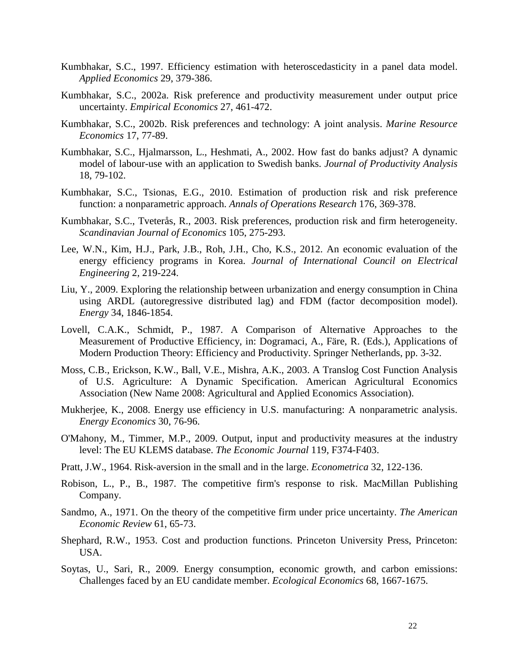- <span id="page-23-10"></span>Kumbhakar, S.C., 1997. Efficiency estimation with heteroscedasticity in a panel data model. *Applied Economics* 29, 379-386.
- <span id="page-23-8"></span>Kumbhakar, S.C., 2002a. Risk preference and productivity measurement under output price uncertainty. *Empirical Economics* 27, 461-472.
- <span id="page-23-9"></span>Kumbhakar, S.C., 2002b. Risk preferences and technology: A joint analysis. *Marine Resource Economics* 17, 77-89.
- <span id="page-23-6"></span>Kumbhakar, S.C., Hjalmarsson, L., Heshmati, A., 2002. How fast do banks adjust? A dynamic model of labour-use with an application to Swedish banks. *Journal of Productivity Analysis* 18, 79-102.
- <span id="page-23-5"></span>Kumbhakar, S.C., Tsionas, E.G., 2010. Estimation of production risk and risk preference function: a nonparametric approach. *Annals of Operations Research* 176, 369-378.
- <span id="page-23-7"></span>Kumbhakar, S.C., Tveterås, R., 2003. Risk preferences, production risk and firm heterogeneity. *Scandinavian Journal of Economics* 105, 275-293.
- <span id="page-23-13"></span>Lee, W.N., Kim, H.J., Park, J.B., Roh, J.H., Cho, K.S., 2012. An economic evaluation of the energy efficiency programs in Korea. *Journal of International Council on Electrical Engineering* 2, 219-224.
- <span id="page-23-14"></span>Liu, Y., 2009. Exploring the relationship between urbanization and energy consumption in China using ARDL (autoregressive distributed lag) and FDM (factor decomposition model). *Energy* 34, 1846-1854.
- <span id="page-23-11"></span>Lovell, C.A.K., Schmidt, P., 1987. A Comparison of Alternative Approaches to the Measurement of Productive Efficiency, in: Dogramaci, A., Färe, R. (Eds.), Applications of Modern Production Theory: Efficiency and Productivity. Springer Netherlands, pp. 3-32.
- <span id="page-23-12"></span>Moss, C.B., Erickson, K.W., Ball, V.E., Mishra, A.K., 2003. A Translog Cost Function Analysis of U.S. Agriculture: A Dynamic Specification. American Agricultural Economics Association (New Name 2008: Agricultural and Applied Economics Association).
- <span id="page-23-0"></span>Mukherjee, K., 2008. Energy use efficiency in U.S. manufacturing: A nonparametric analysis. *Energy Economics* 30, 76-96.
- O'Mahony, M., Timmer, M.P., 2009. Output, input and productivity measures at the industry level: The EU KLEMS database. *The Economic Journal* 119, F374-F403.
- <span id="page-23-2"></span>Pratt, J.W., 1964. Risk-aversion in the small and in the large. *Econometrica* 32, 122-136.
- <span id="page-23-3"></span>Robison, L., P., B., 1987. The competitive firm's response to risk. MacMillan Publishing Company.
- <span id="page-23-4"></span>Sandmo, A., 1971. On the theory of the competitive firm under price uncertainty. *The American Economic Review* 61, 65-73.
- Shephard, R.W., 1953. Cost and production functions. Princeton University Press, Princeton: USA.
- <span id="page-23-1"></span>Soytas, U., Sari, R., 2009. Energy consumption, economic growth, and carbon emissions: Challenges faced by an EU candidate member. *Ecological Economics* 68, 1667-1675.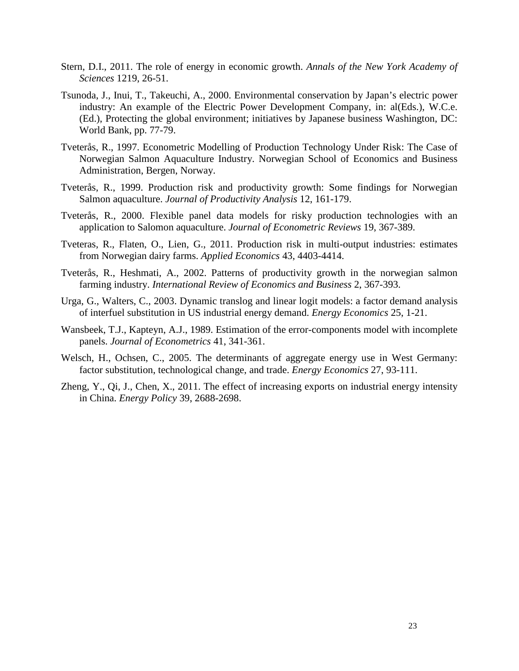- <span id="page-24-0"></span>Stern, D.I., 2011. The role of energy in economic growth. *Annals of the New York Academy of Sciences* 1219, 26-51.
- <span id="page-24-10"></span>Tsunoda, J., Inui, T., Takeuchi, A., 2000. Environmental conservation by Japan's electric power industry: An example of the Electric Power Development Company, in: al(Eds.), W.C.e. (Ed.), Protecting the global environment; initiatives by Japanese business Washington, DC: World Bank, pp. 77-79.
- <span id="page-24-6"></span>Tveterås, R., 1997. Econometric Modelling of Production Technology Under Risk: The Case of Norwegian Salmon Aquaculture Industry. Norwegian School of Economics and Business Administration, Bergen, Norway.
- <span id="page-24-5"></span>Tveterås, R., 1999. Production risk and productivity growth: Some findings for Norwegian Salmon aquaculture. *Journal of Productivity Analysis* 12, 161-179.
- <span id="page-24-3"></span>Tveterås, R., 2000. Flexible panel data models for risky production technologies with an application to Salomon aquaculture. *Journal of Econometric Reviews* 19, 367-389.
- <span id="page-24-2"></span>Tveteras, R., Flaten, O., Lien, G., 2011. Production risk in multi-output industries: estimates from Norwegian dairy farms. *Applied Economics* 43, 4403-4414.
- <span id="page-24-4"></span>Tveterås, R., Heshmati, A., 2002. Patterns of productivity growth in the norwegian salmon farming industry. *International Review of Economics and Business* 2, 367-393.
- <span id="page-24-1"></span>Urga, G., Walters, C., 2003. Dynamic translog and linear logit models: a factor demand analysis of interfuel substitution in US industrial energy demand. *Energy Economics* 25, 1-21.
- <span id="page-24-7"></span>Wansbeek, T.J., Kapteyn, A.J., 1989. Estimation of the error-components model with incomplete panels. *Journal of Econometrics* 41, 341-361.
- <span id="page-24-9"></span>Welsch, H., Ochsen, C., 2005. The determinants of aggregate energy use in West Germany: factor substitution, technological change, and trade. *Energy Economics* 27, 93-111.
- <span id="page-24-8"></span>Zheng, Y., Qi, J., Chen, X., 2011. The effect of increasing exports on industrial energy intensity in China. *Energy Policy* 39, 2688-2698.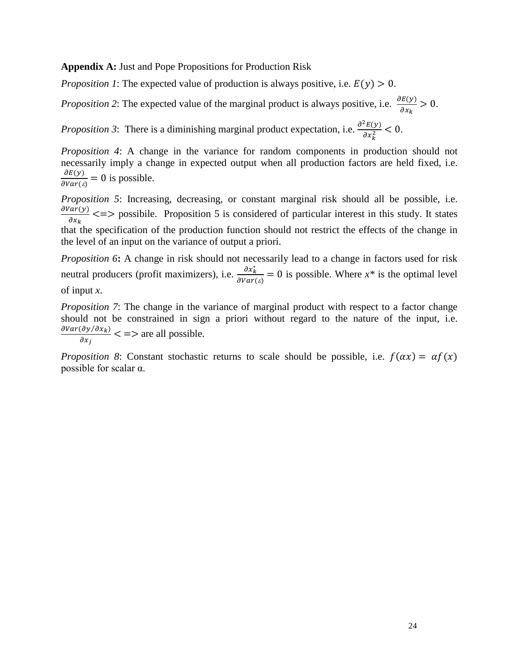**Appendix A:** Just and Pope Propositions for Production Risk

*Proposition 1*: The expected value of production is always positive, i.e.  $E(y) > 0$ .

*Proposition 2*: The expected value of the marginal product is always positive, i.e.  $\frac{\partial E(y)}{\partial x}$  $\frac{\partial E(y)}{\partial x_k} > 0.$ 

*Proposition 3*: There is a diminishing marginal product expectation, i.e.  $\frac{\partial^2 E(y)}{\partial x^2}$  $\frac{E(y)}{\partial x_k^2} < 0.$ 

*Proposition 4*: A change in the variance for random components in production should not necessarily imply a change in expected output when all production factors are held fixed, i.e.  $\frac{\partial E(y)}{\partial Var(\varepsilon)} = 0$  is possible.

*Proposition 5*: Increasing, decreasing, or constant marginal risk should all be possible, i.e. dVar(y)  $\frac{dF(y)}{dx_k}$  <=> possibile. Proposition 5 is considered of particular interest in this study. It states that the specification of the production function should not restrict the effects of the change in the level of an input on the variance of output a priori.

*Proposition 6***:** A change in risk should not necessarily lead to a change in factors used for risk neutral producers (profit maximizers), i.e.  $\frac{\partial x_k^*}{\partial Var(\varepsilon)} = 0$  is possible. Where  $x^*$  is the optimal level of input *x*.

*Proposition 7*: The change in the variance of marginal product with respect to a factor change should not be constrained in sign a priori without regard to the nature of the input, i.e.  $\partial Var(\partial y/\partial x_k)$  $\frac{\partial (dy/\partial x_k)}{\partial x_j}$  < => are all possible.

*Proposition 8*: Constant stochastic returns to scale should be possible, i.e.  $f(\alpha x) = \alpha f(x)$ possible for scalar  $\alpha$ .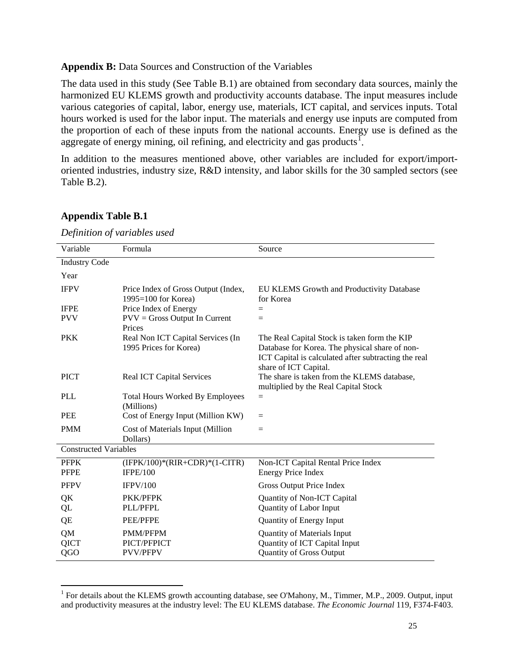#### **Appendix B:** Data Sources and Construction of the Variables

The data used in this study (See Table B.1) are obtained from secondary data sources, mainly the harmonized EU KLEMS growth and productivity accounts database. The input measures include various categories of capital, labor, energy use, materials, ICT capital, and services inputs. Total hours worked is used for the labor input. The materials and energy use inputs are computed from the proportion of each of these inputs from the national accounts. Energy use is defined as the aggregate of energy mining, oil refining, and electricity and gas products<sup>1</sup>.

In addition to the measures mentioned above, other variables are included for export/importoriented industries, industry size, R&D intensity, and labor skills for the 30 sampled sectors (see Table B.2).

| Variable                     | Formula                                                        | Source                                                                                                                                                                          |  |  |  |  |
|------------------------------|----------------------------------------------------------------|---------------------------------------------------------------------------------------------------------------------------------------------------------------------------------|--|--|--|--|
|                              |                                                                |                                                                                                                                                                                 |  |  |  |  |
| <b>Industry Code</b>         |                                                                |                                                                                                                                                                                 |  |  |  |  |
| Year                         |                                                                |                                                                                                                                                                                 |  |  |  |  |
| <b>IFPV</b>                  | Price Index of Gross Output (Index,<br>$1995 = 100$ for Korea) | EU KLEMS Growth and Productivity Database<br>for Korea                                                                                                                          |  |  |  |  |
| <b>IFPE</b>                  | Price Index of Energy                                          | $=$                                                                                                                                                                             |  |  |  |  |
| <b>PVV</b>                   | $PVV = Gross$ Output In Current<br>Prices                      | $=$                                                                                                                                                                             |  |  |  |  |
| <b>PKK</b>                   | Real Non ICT Capital Services (In<br>1995 Prices for Korea)    | The Real Capital Stock is taken form the KIP<br>Database for Korea. The physical share of non-<br>ICT Capital is calculated after subtracting the real<br>share of ICT Capital. |  |  |  |  |
| <b>PICT</b>                  | <b>Real ICT Capital Services</b>                               | The share is taken from the KLEMS database,<br>multiplied by the Real Capital Stock                                                                                             |  |  |  |  |
| PLL                          | <b>Total Hours Worked By Employees</b><br>(Millions)           | $=$                                                                                                                                                                             |  |  |  |  |
| <b>PEE</b>                   | Cost of Energy Input (Million KW)                              | $=$                                                                                                                                                                             |  |  |  |  |
| <b>PMM</b>                   | Cost of Materials Input (Million<br>Dollars)                   | $=$                                                                                                                                                                             |  |  |  |  |
| <b>Constructed Variables</b> |                                                                |                                                                                                                                                                                 |  |  |  |  |
| <b>PFPK</b><br><b>PFPE</b>   | $(IFPK/100)*(RIR+CDR)*(1-CITR)$<br>IFPE/100                    | Non-ICT Capital Rental Price Index<br><b>Energy Price Index</b>                                                                                                                 |  |  |  |  |
| <b>PFPV</b>                  | IFPV/100                                                       | Gross Output Price Index                                                                                                                                                        |  |  |  |  |
| QK<br>QL                     | PKK/PFPK<br>PLL/PFPL                                           | Quantity of Non-ICT Capital<br>Quantity of Labor Input                                                                                                                          |  |  |  |  |
| QE                           | <b>PEE/PFPE</b>                                                | Quantity of Energy Input                                                                                                                                                        |  |  |  |  |
| QM<br>QICT<br>QGO            | <b>PMM/PFPM</b><br>PICT/PFPICT<br><b>PVV/PFPV</b>              | <b>Quantity of Materials Input</b><br>Quantity of ICT Capital Input<br><b>Quantity of Gross Output</b>                                                                          |  |  |  |  |

#### **Appendix Table B.1**

*Definition of variables used*

<sup>&</sup>lt;sup>1</sup> For details about the KLEMS growth accounting database, see O'Mahony, M., Timmer, M.P., 2009. Output, input and productivity measures at the industry level: The EU KLEMS database. *The Economic Journal* 119, F374-F403.